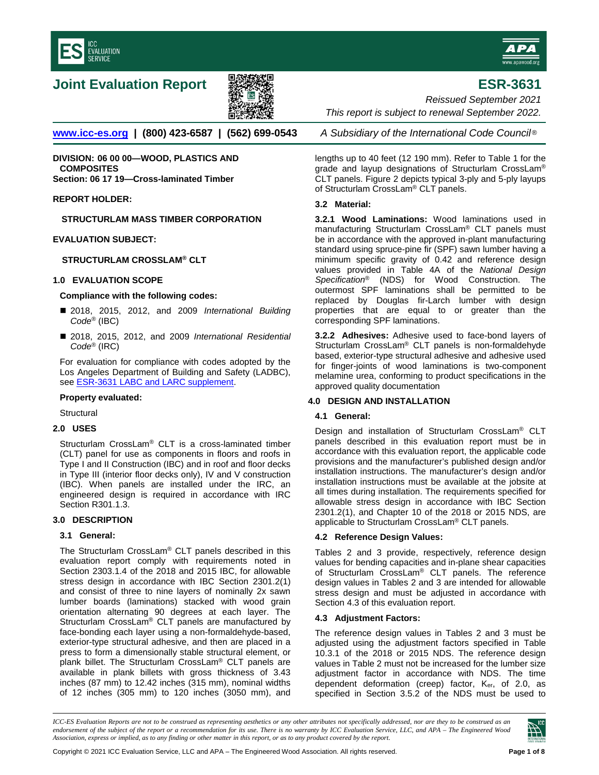<span id="page-0-0"></span>



# **Joint Evaluation Report ESR-3631**



*Reissued September 2021 This report is subject to renewal September 2022.* 

**[www.icc-es.org](http://www.icc-es.org/) | (800) 423-6587 | (562) 699-0543** *A Subsidiary of the International Code Council* ®

**DIVISION: 06 00 00—WOOD, PLASTICS AND COMPOSITES Section: 06 17 19—Cross-laminated Timber**

### **REPORT HOLDER:**

**STRUCTURLAM MASS TIMBER CORPORATION**

### **EVALUATION SUBJECT:**

# **STRUCTURLAM CROSSLAM® CLT**

### **1.0 EVALUATION SCOPE**

### **Compliance with the following codes:**

- 2018, 2015, 2012, and 2009 *International Building Code*® (IBC)
- 2018, 2015, 2012, and 2009 *International Residential Code*® (IRC)

For evaluation for compliance with codes adopted by the Los Angeles Department of Building and Safety (LADBC), se[e ESR-3631 LABC and LARC supplement.](#page-6-0) 

### **Property evaluated:**

**Structural** 

### **2.0 USES**

Structurlam CrossLam® CLT is a cross-laminated timber (CLT) panel for use as components in floors and roofs in Type I and II Construction (IBC) and in roof and floor decks in Type III (interior floor decks only), IV and V construction (IBC). When panels are installed under the IRC, an engineered design is required in accordance with IRC Section R301.1.3.

# **3.0 DESCRIPTION**

### **3.1 General:**

The Structurlam CrossLam® CLT panels described in this evaluation report comply with requirements noted in Section 2303.1.4 of the 2018 and 2015 IBC, for allowable stress design in accordance with IBC Section 2301.2(1) and consist of three to nine layers of nominally 2x sawn lumber boards (laminations) stacked with wood grain orientation alternating 90 degrees at each layer. The Structurlam CrossLam® CLT panels are manufactured by face-bonding each layer using a non-formaldehyde-based, exterior-type structural adhesive, and then are placed in a press to form a dimensionally stable structural element, or plank billet. The Structurlam CrossLam® CLT panels are available in plank billets with gross thickness of 3.43 inches (87 mm) to 12.42 inches (315 mm), nominal widths of 12 inches (305 mm) to 120 inches (3050 mm), and

lengths up to 40 feet (12 190 mm). Refer to Table 1 for the grade and layup designations of Structurlam CrossLam® CLT panels. Figure 2 depicts typical 3-ply and 5-ply layups of Structurlam CrossLam® CLT panels.

### **3.2 Material:**

**3.2.1 Wood Laminations:** Wood laminations used in manufacturing Structurlam CrossLam® CLT panels must be in accordance with the approved in-plant manufacturing standard using spruce-pine fir (SPF) sawn lumber having a minimum specific gravity of 0.42 and reference design values provided in Table 4A of the *National Design Specification*® (NDS) for Wood Construction. The outermost SPF laminations shall be permitted to be replaced by Douglas fir-Larch lumber with design properties that are equal to or greater than the corresponding SPF laminations.

**3.2.2 Adhesives:** Adhesive used to face-bond layers of Structurlam CrossLam® CLT panels is non-formaldehyde based, exterior-type structural adhesive and adhesive used for finger-joints of wood laminations is two-component melamine urea, conforming to product specifications in the approved quality documentation

# **4.0 DESIGN AND INSTALLATION**

### **4.1 General:**

Design and installation of Structurlam CrossLam® CLT panels described in this evaluation report must be in accordance with this evaluation report, the applicable code provisions and the manufacturer's published design and/or installation instructions. The manufacturer's design and/or installation instructions must be available at the jobsite at all times during installation. The requirements specified for allowable stress design in accordance with IBC Section 2301.2(1), and Chapter 10 of the 2018 or 2015 NDS, are applicable to Structurlam CrossLam<sup>®</sup> CLT panels.

### **4.2 Reference Design Values:**

Tables 2 and 3 provide, respectively, reference design values for bending capacities and in-plane shear capacities of Structurlam CrossLam® CLT panels. The reference design values in Tables 2 and 3 are intended for allowable stress design and must be adjusted in accordance with Section 4.3 of this evaluation report.

### **4.3 Adjustment Factors:**

The reference design values in Tables 2 and 3 must be adjusted using the adjustment factors specified in Table 10.3.1 of the 2018 or 2015 NDS. The reference design values in Table 2 must not be increased for the lumber size adjustment factor in accordance with NDS. The time dependent deformation (creep) factor, K<sub>er</sub>, of 2.0, as specified in Section 3.5.2 of the NDS must be used to

*ICC-ES Evaluation Reports are not to be construed as representing aesthetics or any other attributes not specifically addressed, nor are they to be construed as an endorsement of the subject of the report or a recommendation for its use. There is no warranty by ICC Evaluation Service, LLC, and APA – The Engineered Wood Association, express or implied, as to any finding or other matter in this report, or as to any product covered by the report.*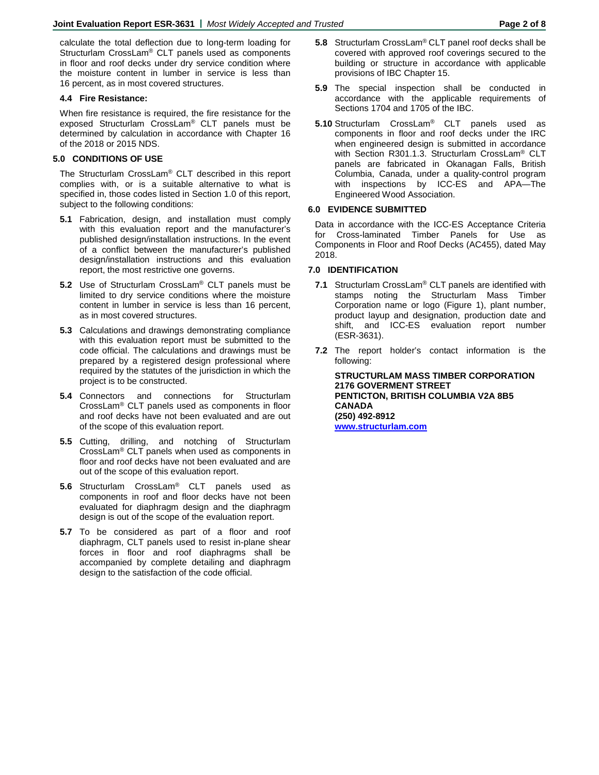calculate the total deflection due to long-term loading for Structurlam CrossLam® CLT panels used as components in floor and roof decks under dry service condition where the moisture content in lumber in service is less than 16 percent, as in most covered structures.

# **4.4 Fire Resistance:**

When fire resistance is required, the fire resistance for the exposed Structurlam CrossLam® CLT panels must be determined by calculation in accordance with Chapter 16 of the 2018 or 2015 NDS.

# **5.0 CONDITIONS OF USE**

The Structurlam CrossLam® CLT described in this report complies with, or is a suitable alternative to what is specified in, those codes listed in Section 1.0 of this report, subject to the following conditions:

- **5.1** Fabrication, design, and installation must comply with this evaluation report and the manufacturer's published design/installation instructions. In the event of a conflict between the manufacturer's published design/installation instructions and this evaluation report, the most restrictive one governs.
- **5.2** Use of Structurlam CrossLam® CLT panels must be limited to dry service conditions where the moisture content in lumber in service is less than 16 percent, as in most covered structures.
- **5.3** Calculations and drawings demonstrating compliance with this evaluation report must be submitted to the code official. The calculations and drawings must be prepared by a registered design professional where required by the statutes of the jurisdiction in which the project is to be constructed.
- **5.4** Connectors and connections for Structurlam CrossLam® CLT panels used as components in floor and roof decks have not been evaluated and are out of the scope of this evaluation report.
- **5.5** Cutting, drilling, and notching of Structurlam CrossLam® CLT panels when used as components in floor and roof decks have not been evaluated and are out of the scope of this evaluation report.
- **5.6** Structurlam CrossLam® CLT panels used as components in roof and floor decks have not been evaluated for diaphragm design and the diaphragm design is out of the scope of the evaluation report.
- **5.7** To be considered as part of a floor and roof diaphragm, CLT panels used to resist in-plane shear forces in floor and roof diaphragms shall be accompanied by complete detailing and diaphragm design to the satisfaction of the code official.
- **5.8** Structurlam CrossLam® CLT panel roof decks shall be covered with approved roof coverings secured to the building or structure in accordance with applicable provisions of IBC Chapter 15.
- **5.9** The special inspection shall be conducted in accordance with the applicable requirements of Sections 1704 and 1705 of the IBC.
- **5.10** Structurlam CrossLam® CLT panels used as components in floor and roof decks under the IRC when engineered design is submitted in accordance with Section R301.1.3. Structurlam CrossLam® CLT panels are fabricated in Okanagan Falls, British Columbia, Canada, under a quality-control program with inspections by ICC-ES and APA—The Engineered Wood Association.

# **6.0 EVIDENCE SUBMITTED**

Data in accordance with the ICC-ES Acceptance Criteria for Cross-laminated Timber Panels for Use as Components in Floor and Roof Decks (AC455), dated May 2018.

# **7.0 IDENTIFICATION**

- **7.1** Structurlam CrossLam® CLT panels are identified with stamps noting the Structurlam Mass Timber Corporation name or logo (Figure 1), plant number, product layup and designation, production date and shift, and ICC-ES evaluation report number (ESR-3631).
- **7.2** The report holder's contact information is the following:

**STRUCTURLAM MASS TIMBER CORPORATION 2176 GOVERMENT STREET PENTICTON, BRITISH COLUMBIA V2A 8B5 CANADA (250) 492-8912 [www.structurlam.com](http://www.structurlam.com/)**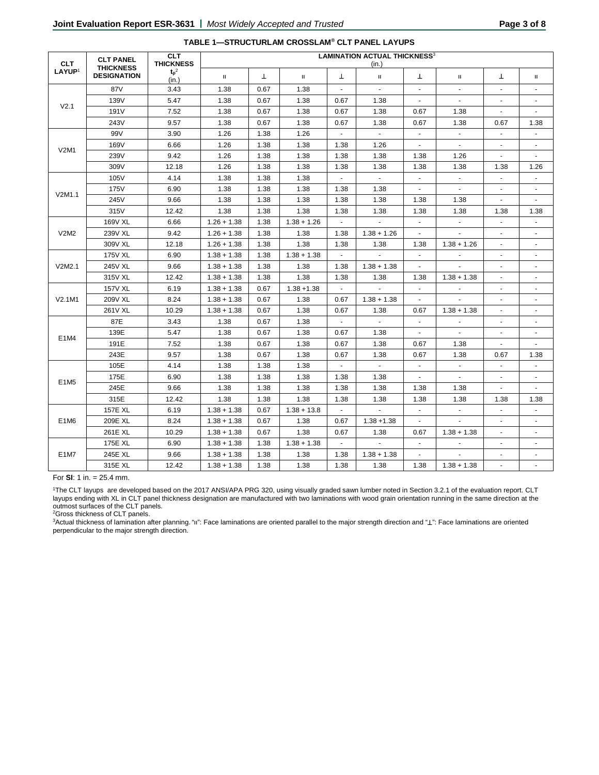| <b>CLT</b>         | <b>CLT PANEL</b><br><b>THICKNESS</b><br><b>DESIGNATION</b> | <b>CLT</b><br><b>THICKNESS</b> | <b>LAMINATION ACTUAL THICKNESS3</b><br>(in.) |      |               |                |                             |                                                                                                                                                                                                                                                                                                                                                                                                                                                                                                                                                                                            |                                                                                   |                          |                          |
|--------------------|------------------------------------------------------------|--------------------------------|----------------------------------------------|------|---------------|----------------|-----------------------------|--------------------------------------------------------------------------------------------------------------------------------------------------------------------------------------------------------------------------------------------------------------------------------------------------------------------------------------------------------------------------------------------------------------------------------------------------------------------------------------------------------------------------------------------------------------------------------------------|-----------------------------------------------------------------------------------|--------------------------|--------------------------|
| LAYUP <sup>1</sup> |                                                            | $t_p^2$<br>(in.)               | $\mathbf H$                                  | T    | П.            | Т              | П.                          | T                                                                                                                                                                                                                                                                                                                                                                                                                                                                                                                                                                                          | $\mathbf{H}$                                                                      | Т                        | $\mathbf H$              |
|                    | 87V                                                        | 3.43                           | 1.38                                         | 0.67 | 1.38          | ä,             | $\mathbf{r}$                | $\blacksquare$                                                                                                                                                                                                                                                                                                                                                                                                                                                                                                                                                                             | $\blacksquare$                                                                    | ÷.                       |                          |
|                    | 139V                                                       | 5.47                           | 1.38                                         | 0.67 | 1.38          | 0.67           | 1.38                        | $\blacksquare$                                                                                                                                                                                                                                                                                                                                                                                                                                                                                                                                                                             | $\sim$                                                                            | $\blacksquare$           |                          |
| V <sub>2.1</sub>   | 191V                                                       | 7.52                           | 1.38                                         | 0.67 | 1.38          | 0.67           | 1.38                        | 0.67                                                                                                                                                                                                                                                                                                                                                                                                                                                                                                                                                                                       | 1.38                                                                              | $\overline{a}$           | $\overline{a}$           |
|                    | 243V                                                       | 9.57                           | 1.38                                         | 0.67 | 1.38          | 0.67           | 1.38                        | 0.67                                                                                                                                                                                                                                                                                                                                                                                                                                                                                                                                                                                       | 1.38                                                                              | 0.67                     | 1.38                     |
|                    | 99V                                                        | 3.90                           | 1.26                                         | 1.38 | 1.26          |                | $\blacksquare$              | $\blacksquare$                                                                                                                                                                                                                                                                                                                                                                                                                                                                                                                                                                             | $\blacksquare$                                                                    |                          |                          |
| <b>V2M1</b>        | 169V                                                       | 6.66                           | 1.26                                         | 1.38 | 1.38          | 1.38           | 1.26                        | $\blacksquare$                                                                                                                                                                                                                                                                                                                                                                                                                                                                                                                                                                             |                                                                                   |                          |                          |
|                    | 239V                                                       | 9.42                           | 1.26                                         | 1.38 | 1.38          | 1.38           | 1.38                        | 1.38                                                                                                                                                                                                                                                                                                                                                                                                                                                                                                                                                                                       | 1.26                                                                              | $\blacksquare$           |                          |
|                    | 309V                                                       | 12.18                          | 1.26                                         | 1.38 | 1.38          | 1.38           | 1.38                        | 1.38<br>1.38<br>$\blacksquare$<br>÷.<br>$\blacksquare$<br>$\omega$<br>1.38<br>1.38<br>1.38<br>1.38<br>$\blacksquare$<br>$\blacksquare$<br>$\mathcal{L}_{\mathcal{A}}$<br>$\sim$<br>1.38<br>$\blacksquare$<br>$\overline{\phantom{a}}$<br>$\sim$<br>1.38<br>$\blacksquare$<br>$\blacksquare$<br>0.67<br>$\blacksquare$<br>$\sim$<br>$\sim$<br>0.67<br>1.38<br>0.67<br>1.38<br>$\blacksquare$<br>1.38<br>1.38<br>1.38<br>1.38<br>$\blacksquare$<br>$\blacksquare$<br>$\blacksquare$<br>$\mathcal{L}_{\mathcal{A}}$<br>0.67<br>$\sim$<br>$\blacksquare$<br>$\blacksquare$<br>$\omega$<br>1.38 |                                                                                   | 1.38                     | 1.26                     |
|                    | 105V                                                       | 4.14                           | 1.38                                         | 1.38 | 1.38          | $\Box$         | $\blacksquare$              |                                                                                                                                                                                                                                                                                                                                                                                                                                                                                                                                                                                            | $1.38 + 1.26$<br>$1.38 + 1.38$<br>$1.38 + 1.38$<br>$1.38 + 1.38$<br>$1.38 + 1.38$ | ÷,                       |                          |
| V2M1.1             | <b>175V</b>                                                | 6.90                           | 1.38                                         | 1.38 | 1.38          | 1.38           | 1.38                        |                                                                                                                                                                                                                                                                                                                                                                                                                                                                                                                                                                                            |                                                                                   | $\mathbf{r}$             |                          |
|                    | 245V                                                       | 9.66                           | 1.38                                         | 1.38 | 1.38          | 1.38           | 1.38                        |                                                                                                                                                                                                                                                                                                                                                                                                                                                                                                                                                                                            |                                                                                   | $\blacksquare$           | $\blacksquare$           |
|                    | 315V                                                       | 12.42                          | 1.38                                         | 1.38 | 1.38          | 1.38           | 1.38                        |                                                                                                                                                                                                                                                                                                                                                                                                                                                                                                                                                                                            |                                                                                   | 1.38                     | 1.38                     |
|                    | 169V XL                                                    | 6.66                           | $1.26 + 1.38$                                | 1.38 | $1.38 + 1.26$ | $\blacksquare$ | $\blacksquare$              |                                                                                                                                                                                                                                                                                                                                                                                                                                                                                                                                                                                            |                                                                                   | $\blacksquare$           | $\blacksquare$           |
| V2M2               | 239V XL                                                    | 9.42                           | $1.26 + 1.38$                                | 1.38 | 1.38          | 1.38           | $1.38 + 1.26$               |                                                                                                                                                                                                                                                                                                                                                                                                                                                                                                                                                                                            |                                                                                   | $\blacksquare$           | $\blacksquare$           |
|                    | 309V XL                                                    | 12.18                          | $1.26 + 1.38$                                | 1.38 | 1.38          | 1.38           | 1.38                        |                                                                                                                                                                                                                                                                                                                                                                                                                                                                                                                                                                                            |                                                                                   | $\blacksquare$           | $\blacksquare$           |
| V2M2.1             | 175V XL                                                    | 6.90                           | $1.38 + 1.38$                                | 1.38 | $1.38 + 1.38$ | $\blacksquare$ | $\blacksquare$              |                                                                                                                                                                                                                                                                                                                                                                                                                                                                                                                                                                                            |                                                                                   | $\blacksquare$           | $\overline{\phantom{a}}$ |
|                    | 245V XL                                                    | 9.66                           | $1.38 + 1.38$                                | 1.38 | 1.38          | 1.38           | $1.38 + 1.38$               |                                                                                                                                                                                                                                                                                                                                                                                                                                                                                                                                                                                            |                                                                                   | $\sim$                   | $\blacksquare$           |
|                    | 315V XL                                                    | 12.42                          | $1.38 + 1.38$                                | 1.38 | 1.38          | 1.38           | 1.38                        |                                                                                                                                                                                                                                                                                                                                                                                                                                                                                                                                                                                            |                                                                                   | $\tilde{\phantom{a}}$    | ä,                       |
|                    | <b>157V XL</b>                                             | 6.19                           | $1.38 + 1.38$                                | 0.67 | $1.38 + 1.38$ |                |                             |                                                                                                                                                                                                                                                                                                                                                                                                                                                                                                                                                                                            |                                                                                   |                          |                          |
| V2.1M1             | 209V XL                                                    | 8.24                           | $1.38 + 1.38$                                | 0.67 | 1.38          | 0.67           | $1.38 + 1.38$               |                                                                                                                                                                                                                                                                                                                                                                                                                                                                                                                                                                                            |                                                                                   |                          |                          |
|                    | 261V XL                                                    | 10.29                          | $1.38 + 1.38$                                | 0.67 | 1.38          | 0.67           | 1.38                        |                                                                                                                                                                                                                                                                                                                                                                                                                                                                                                                                                                                            |                                                                                   | $\sim$                   |                          |
|                    | 87E                                                        | 3.43                           | 1.38                                         | 0.67 | 1.38          | $\sim$         | $\blacksquare$              |                                                                                                                                                                                                                                                                                                                                                                                                                                                                                                                                                                                            |                                                                                   | $\ddot{\phantom{1}}$     | $\blacksquare$           |
| E1M4               | 139E                                                       | 5.47                           | 1.38                                         | 0.67 | 1.38          | 0.67           | 1.38                        |                                                                                                                                                                                                                                                                                                                                                                                                                                                                                                                                                                                            |                                                                                   | $\sim$                   | $\sim$                   |
|                    | 191E                                                       | 7.52                           | 1.38                                         | 0.67 | 1.38          | 0.67           | 1.38                        |                                                                                                                                                                                                                                                                                                                                                                                                                                                                                                                                                                                            |                                                                                   | ÷.                       |                          |
|                    | 243E                                                       | 9.57                           | 1.38                                         | 0.67 | 1.38          | 0.67           | 1.38                        |                                                                                                                                                                                                                                                                                                                                                                                                                                                                                                                                                                                            |                                                                                   | 0.67                     | 1.38                     |
|                    | 105E                                                       | 4.14                           | 1.38                                         | 1.38 | 1.38          | $\sim$         | $\blacksquare$              |                                                                                                                                                                                                                                                                                                                                                                                                                                                                                                                                                                                            |                                                                                   |                          |                          |
| E1M <sub>5</sub>   | 175E                                                       | 6.90                           | 1.38                                         | 1.38 | 1.38          | 1.38           | 1.38                        |                                                                                                                                                                                                                                                                                                                                                                                                                                                                                                                                                                                            |                                                                                   |                          |                          |
|                    | 245E                                                       | 9.66                           | 1.38                                         | 1.38 | 1.38          | 1.38           | 1.38                        |                                                                                                                                                                                                                                                                                                                                                                                                                                                                                                                                                                                            |                                                                                   | $\overline{a}$           |                          |
|                    | 315E                                                       | 12.42                          | 1.38                                         | 1.38 | 1.38          | 1.38           | 1.38                        |                                                                                                                                                                                                                                                                                                                                                                                                                                                                                                                                                                                            |                                                                                   | 1.38                     | 1.38                     |
|                    | <b>157E XL</b>                                             | 6.19                           | $1.38 + 1.38$                                | 0.67 | $1.38 + 13.8$ | $\blacksquare$ | $\omega$                    |                                                                                                                                                                                                                                                                                                                                                                                                                                                                                                                                                                                            |                                                                                   | $\blacksquare$           | ä,                       |
| E1M6               | 209E XL                                                    | 8.24                           | $1.38 + 1.38$                                | 0.67 | 1.38          | 0.67           | $1.38 + 1.38$               |                                                                                                                                                                                                                                                                                                                                                                                                                                                                                                                                                                                            |                                                                                   | $\overline{\phantom{a}}$ | ä,                       |
|                    | 261E XL                                                    | 10.29                          | $1.38 + 1.38$                                | 0.67 | 1.38          | 0.67           | 1.38                        |                                                                                                                                                                                                                                                                                                                                                                                                                                                                                                                                                                                            |                                                                                   | $\blacksquare$           | $\blacksquare$           |
|                    | 175E XL                                                    | 6.90                           | $1.38 + 1.38$                                | 1.38 | $1.38 + 1.38$ | $\omega$       | $\mathcal{L}_{\mathcal{A}}$ |                                                                                                                                                                                                                                                                                                                                                                                                                                                                                                                                                                                            |                                                                                   | $\blacksquare$           | $\blacksquare$           |
| E1M7               | 245E XL                                                    | 9.66                           | $1.38 + 1.38$                                | 1.38 | 1.38          | 1.38           | $1.38 + 1.38$               |                                                                                                                                                                                                                                                                                                                                                                                                                                                                                                                                                                                            |                                                                                   | $\blacksquare$           | $\blacksquare$           |
|                    | 315E XL                                                    | 12.42                          | $1.38 + 1.38$                                | 1.38 | 1.38          | 1.38           | 1.38                        |                                                                                                                                                                                                                                                                                                                                                                                                                                                                                                                                                                                            |                                                                                   | $\blacksquare$           | $\blacksquare$           |

### **TABLE 1—STRUCTURLAM CROSSLAM® CLT PANEL LAYUPS**

For **SI**: 1 in. = 25.4 mm.

1The CLT layups are developed based on the 2017 ANSI/APA PRG 320, using visually graded sawn lumber noted in Section 3.2.1 of the evaluation report. CLT layups ending with XL in CLT panel thickness designation are manufactured with two laminations with wood grain orientation running in the same direction at the outmost surfaces of the CLT panels.

2Gross thickness of CLT panels.

3Actual thickness of lamination after planning. "॥": Face laminations are oriented parallel to the major strength direction and "⊥": Face laminations are oriented perpendicular to the major strength direction.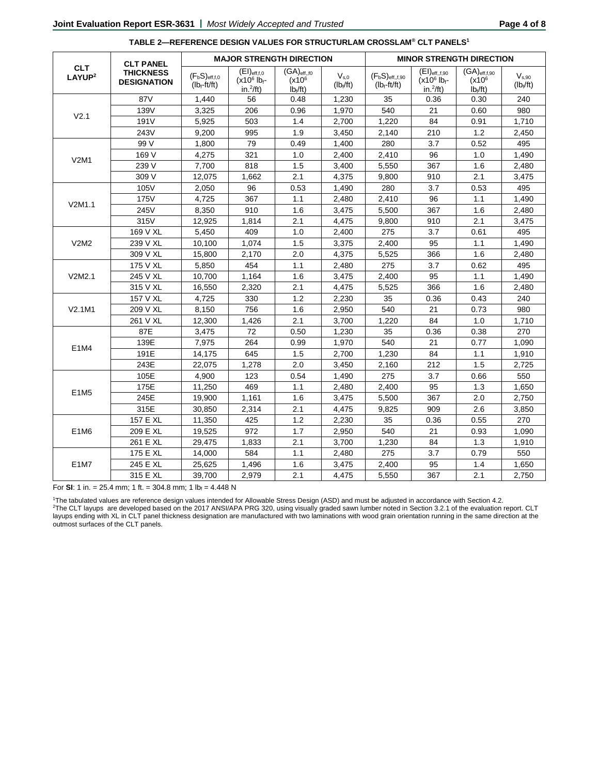|                                  | <b>CLT PANEL</b><br><b>THICKNESS</b><br><b>DESIGNATION</b> |                                      |                                                                      | <b>MAJOR STRENGTH DIRECTION</b>                                                           |                          | <b>MINOR STRENGTH DIRECTION</b>       |                                                                          |                                                     |                           |  |
|----------------------------------|------------------------------------------------------------|--------------------------------------|----------------------------------------------------------------------|-------------------------------------------------------------------------------------------|--------------------------|---------------------------------------|--------------------------------------------------------------------------|-----------------------------------------------------|---------------------------|--|
| <b>CLT</b><br>LAYUP <sup>2</sup> |                                                            | $(F_bS)_{eff,f,0}$<br>$(lb_f-ft/ft)$ | $(EI)_{eff, f, 0}$<br>$(x10^6)$ lb <sub>f</sub> -<br>in. $^{2}/$ ft) | $\overline{\mathsf{(GA)}}_{\mathsf{eff},\mathsf{f0}}$<br>(x10 <sup>6</sup> )<br>$Ib_f/ft$ | $V_{s,0}$<br>$(Ib_f/ft)$ | $(F_bS)_{eff,f,90}$<br>$(lb_f-ft/ft)$ | $(EI)_{eff,1,90}$<br>$(x10^6)$ <sub>b<sup>f-</sup></sub><br>$in.^2$ /ft) | $(GA)$ eff,f,90<br>(x10 <sup>6</sup> )<br>$Ib_f/ft$ | $V_{s.90}$<br>$(lb_f/ft)$ |  |
|                                  | 87V                                                        | 1,440                                | 56                                                                   | 0.48                                                                                      | 1,230                    | 35                                    | 0.36                                                                     | 0.30                                                | 240                       |  |
| V <sub>2.1</sub>                 | 139V                                                       | 3,325                                | 206                                                                  | 0.96                                                                                      | 1,970                    | 540                                   | 21                                                                       | 0.60                                                | 980                       |  |
|                                  | 191V                                                       | 5,925                                | 503                                                                  | 1.4                                                                                       | 2,700                    | 1,220                                 | 84                                                                       | 0.91                                                | 1,710                     |  |
|                                  | 243V                                                       | 9.200                                | 995                                                                  | 1.9                                                                                       | 3.450                    | 2,140                                 | 210                                                                      | 1.2                                                 | 2.450                     |  |
|                                  | 99 V                                                       | 1,800                                | 79                                                                   | 0.49                                                                                      | 1,400                    | 280                                   | 3.7                                                                      | 0.52                                                | 495                       |  |
| <b>V2M1</b>                      | 169 V                                                      | 4,275                                | 321                                                                  | 1.0                                                                                       | 2,400                    | 2,410                                 | 96                                                                       | 1.0                                                 | 1,490                     |  |
|                                  | 239 V                                                      | 7,700                                | 818                                                                  | 1.5                                                                                       | 3,400                    | 5,550                                 | 367                                                                      | 1.6                                                 | 2,480                     |  |
|                                  | 309 V                                                      | 12,075                               | 1,662                                                                | 2.1                                                                                       | 4,375                    | 9,800                                 | 910                                                                      | 2.1                                                 | 3,475                     |  |
|                                  | 105V                                                       | 2,050                                | 96                                                                   | 0.53                                                                                      | 1,490                    | 280                                   | 3.7                                                                      | 0.53                                                | 495                       |  |
| V2M1.1                           | 175V                                                       | 4,725                                | 367                                                                  | 1.1                                                                                       | 2,480                    | 2,410                                 | 96                                                                       | 1.1                                                 | 1,490                     |  |
|                                  | 245V                                                       | 8.350                                | 910                                                                  | 1.6                                                                                       | 3.475                    | 5.500                                 | 367                                                                      | 1.6                                                 | 2.480                     |  |
|                                  | 315V                                                       | 12,925                               | 1,814                                                                | 2.1                                                                                       | 4,475                    | 9,800                                 | 910                                                                      | 2.1                                                 | 3,475                     |  |
|                                  | 169 V XL                                                   | 5,450                                | 409                                                                  | 1.0                                                                                       | 2,400                    | 275                                   | 3.7                                                                      | 0.61                                                | 495                       |  |
| V2M2                             | 239 V XL                                                   | 10.100                               | 1,074                                                                | 1.5                                                                                       | 3,375                    | 2,400                                 | 95                                                                       | 1.1                                                 | 1,490                     |  |
|                                  | 309 V XL                                                   | 15,800                               | 2,170                                                                | 2.0                                                                                       | 4,375                    | 5,525                                 | 366                                                                      | 1.6                                                 | 2,480                     |  |
|                                  | 175 V XL                                                   | 5,850                                | 454                                                                  | 1.1                                                                                       | 2,480                    | 275                                   | 3.7                                                                      | 0.62                                                | 495                       |  |
| V2M2.1                           | 245 V XL                                                   | 10,700                               | 1,164                                                                | 1.6                                                                                       | 3,475                    | 2.400                                 | 95                                                                       | 1.1                                                 | 1.490                     |  |
|                                  | 315 V XL                                                   | 16,550                               | 2,320                                                                | 2.1                                                                                       | 4,475                    | 5,525                                 | 366                                                                      | 1.6                                                 | 2,480                     |  |
|                                  | 157 V XL                                                   | 4,725                                | 330                                                                  | 1.2                                                                                       | 2,230                    | 35                                    | 0.36                                                                     | 0.43                                                | 240                       |  |
| V2.1M1                           | 209 V XL                                                   | 8,150                                | 756                                                                  | 1.6                                                                                       | 2,950                    | 540                                   | 21                                                                       | 0.73                                                | 980                       |  |
|                                  | 261 V XL                                                   | 12,300                               | 1,426                                                                | 2.1                                                                                       | 3,700                    | 1,220                                 | 84                                                                       | 1.0                                                 | 1,710                     |  |
|                                  | 87E                                                        | 3,475                                | 72                                                                   | 0.50                                                                                      | 1,230                    | 35                                    | 0.36                                                                     | 0.38                                                | 270                       |  |
| E1M4                             | 139E                                                       | 7,975                                | 264                                                                  | 0.99                                                                                      | 1,970                    | 540                                   | 21                                                                       | 0.77                                                | 1,090                     |  |
|                                  | 191E                                                       | 14,175                               | 645                                                                  | 1.5                                                                                       | 2,700                    | 1,230                                 | 84                                                                       | 1.1                                                 | 1,910                     |  |
|                                  | 243E                                                       | 22,075                               | 1,278                                                                | 2.0                                                                                       | 3,450                    | 2,160                                 | 212                                                                      | 1.5                                                 | 2,725                     |  |
|                                  | 105E                                                       | 4.900                                | 123                                                                  | 0.54                                                                                      | 1,490                    | 275                                   | 3.7                                                                      | 0.66                                                | 550                       |  |
| E1M5                             | 175E                                                       | 11,250                               | 469                                                                  | 1.1                                                                                       | 2,480                    | 2,400                                 | 95                                                                       | 1.3                                                 | 1,650                     |  |
|                                  | 245E                                                       | 19,900                               | 1,161                                                                | 1.6                                                                                       | 3,475                    | 5,500                                 | 367                                                                      | 2.0                                                 | 2,750                     |  |
|                                  | 315E                                                       | 30,850                               | 2,314                                                                | 2.1                                                                                       | 4,475                    | 9.825                                 | 909                                                                      | 2.6                                                 | 3,850                     |  |
|                                  | 157 E XL                                                   | 11,350                               | 425                                                                  | 1.2                                                                                       | 2,230                    | 35                                    | 0.36                                                                     | 0.55                                                | 270                       |  |
| E1M6                             | 209 E XL                                                   | 19,525                               | 972                                                                  | 1.7                                                                                       | 2,950                    | 540                                   | 21                                                                       | 0.93                                                | 1,090                     |  |
|                                  | 261 E XL                                                   | 29,475                               | 1,833                                                                | 2.1                                                                                       | 3,700                    | 1,230                                 | 84                                                                       | 1.3                                                 | 1,910                     |  |
|                                  | 175 E XL                                                   | 14,000                               | 584                                                                  | 1.1                                                                                       | 2,480                    | 275                                   | 3.7                                                                      | 0.79                                                | 550                       |  |
| E1M7                             | 245 E XL                                                   | 25,625                               | 1,496                                                                | 1.6                                                                                       | 3,475                    | 2,400                                 | 95                                                                       | 1.4                                                 | 1,650                     |  |
|                                  | 315 E XL                                                   | 39,700                               | 2,979                                                                | 2.1                                                                                       | 4,475                    | 5,550                                 | 367                                                                      | 2.1                                                 | 2,750                     |  |

#### **TABLE 2—REFERENCE DESIGN VALUES FOR STRUCTURLAM CROSSLAM® CLT PANELS1**

For **SI**: 1 in. = 25.4 mm; 1 ft. = 304.8 mm; 1 lb<sub>f</sub> = 4.448 N

1The tabulated values are reference design values intended for Allowable Stress Design (ASD) and must be adjusted in accordance with Section 4.2. 2The CLT layups are developed based on the 2017 ANSI/APA PRG 320, using visually graded sawn lumber noted in Section 3.2.1 of the evaluation report. CLT layups ending with XL in CLT panel thickness designation are manufactured with two laminations with wood grain orientation running in the same direction at the outmost surfaces of the CLT panels.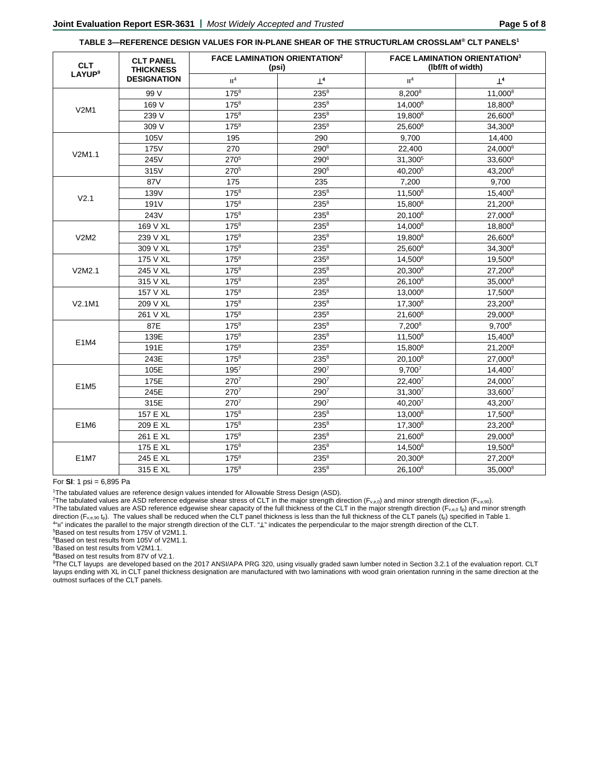### **TABLE 3—REFERENCE DESIGN VALUES FOR IN-PLANE SHEAR OF THE STRUCTURLAM CROSSLAM® CLT PANELS1**

| <b>CLT</b><br>LAYUP <sup>9</sup> | <b>CLT PANEL</b><br><b>THICKNESS</b> |                  | <b>FACE LAMINATION ORIENTATION2</b><br>(psi) | <b>FACE LAMINATION ORIENTATION3</b><br>(lbf/ft of width) |                     |  |  |
|----------------------------------|--------------------------------------|------------------|----------------------------------------------|----------------------------------------------------------|---------------------|--|--|
|                                  | <b>DESIGNATION</b>                   | II <sup>4</sup>  | $\perp^4$                                    | II <sup>4</sup>                                          | $\perp^4$           |  |  |
|                                  | 99 V                                 | $175^{8}$        | $235^{8}$                                    | 8,2008                                                   | 11,000 <sup>8</sup> |  |  |
|                                  | 169 V                                | 1758             | $235^{8}$                                    | 14,000 <sup>8</sup>                                      | 18,800 <sup>8</sup> |  |  |
| V2M1                             | 239 V                                | $175^{8}$        | $235^{8}$                                    | 19,800 <sup>8</sup>                                      | 26,600 <sup>8</sup> |  |  |
|                                  | 309 V                                | $175^{8}$        | $235^{8}$                                    | $25.600^8$                                               | 34,300 <sup>8</sup> |  |  |
|                                  | 105V                                 | 195              | 290                                          | 9,700                                                    | 14,400              |  |  |
| V2M1.1                           | 175V                                 | 270              | $290^{6}$                                    | 22,400                                                   | 24,000 <sup>6</sup> |  |  |
|                                  | 245V                                 | 270 <sup>5</sup> | 290 <sup>6</sup>                             | 31,300 <sup>5</sup>                                      | 33,6006             |  |  |
|                                  | 315V                                 | 2705             | 290 <sup>6</sup>                             | 40,200 <sup>5</sup>                                      | 43,200 $^6$         |  |  |
|                                  | 87V                                  | 175              | 235                                          | 7,200                                                    | 9,700               |  |  |
| V <sub>2.1</sub>                 | 139V                                 | $175^{8}$        | $235^{8}$                                    | $11,500^8$                                               | $15,400^8$          |  |  |
|                                  | 191V                                 | $175^{8}$        | $235^{8}$                                    | 15,800 <sup>8</sup>                                      | 21,200 <sup>8</sup> |  |  |
|                                  | 243V                                 | $175^{8}$        | $235^{8}$                                    | $20,100^8$                                               | 27,000 <sup>8</sup> |  |  |
|                                  | 169 V XL                             | $175^{8}$        | $235^{8}$                                    | 14.000 <sup>8</sup>                                      | 18,800 <sup>8</sup> |  |  |
| V2M2                             | 239 V XL                             | $175^{8}$        | $235^{8}$                                    | 19,800 <sup>8</sup>                                      | 26,600 <sup>8</sup> |  |  |
|                                  | 309 V XL                             | $175^{8}$        | $235^{8}$                                    | 25.600 <sup>8</sup>                                      | 34.300 <sup>8</sup> |  |  |
|                                  | 175 V XL                             | $175^{8}$        | $235^{8}$                                    | 14,500 <sup>8</sup>                                      | 19,500 <sup>8</sup> |  |  |
| V2M2.1                           | 245 V XL                             | 1758             | $235^{8}$                                    | 20,300 <sup>8</sup>                                      | 27,2008             |  |  |
|                                  | 315 V XL                             | $175^{8}$        | $235^{8}$                                    | 26,100 <sup>8</sup>                                      | 35,000 <sup>8</sup> |  |  |
|                                  | 157 V XL                             | $175^{8}$        | $235^{8}$                                    | $13,000^8$                                               | 17,500 <sup>8</sup> |  |  |
| V2.1M1                           | 209 V XL                             | $175^{8}$        | $235^{8}$                                    | $17,300^8$                                               | 23,200 <sup>8</sup> |  |  |
|                                  | 261 V XL                             | $175^{8}$        | $235^{8}$                                    | 21,600 <sup>8</sup>                                      | 29.000 <sup>8</sup> |  |  |
|                                  | 87E                                  | $175^{8}$        | $235^{8}$                                    | $7.200^8$                                                | $9.700^8$           |  |  |
| E1M4                             | 139E                                 | $175^{8}$        | $235^{8}$                                    | 11,500 <sup>8</sup>                                      | $15.400^8$          |  |  |
|                                  | 191E                                 | $175^{8}$        | $235^{8}$                                    | 15,800 <sup>8</sup>                                      | 21,2008             |  |  |
|                                  | 243E                                 | $175^{8}$        | $235^{8}$                                    | 20,1008                                                  | 27,0008             |  |  |
|                                  | 105E                                 | 1957             | 2907                                         | $9,700^7$                                                | 14,4007             |  |  |
| E1M5                             | 175E                                 | 2707             | 2907                                         | 22,4007                                                  | 24,0007             |  |  |
|                                  | 245E                                 | 2707             | 2907                                         | 31,300 <sup>7</sup>                                      | $33,600^7$          |  |  |
|                                  | 315E                                 | 2707             | 2907                                         | 40.2007                                                  | 43.2007             |  |  |
|                                  | 157 E XL                             | $175^{8}$        | $235^{8}$                                    | $13,000^8$                                               | 17,500 <sup>8</sup> |  |  |
| E1M6                             | 209 E XL                             | $175^{8}$        | $235^{8}$                                    | 17,300 <sup>8</sup>                                      | 23,200 <sup>8</sup> |  |  |
|                                  | 261 E XL                             | $175^{8}$        | $235^{8}$                                    | 21,600 <sup>8</sup>                                      | $29,000^8$          |  |  |
|                                  | 175 E XL                             | $175^{8}$        | $235^{8}$                                    | 14,500 <sup>8</sup>                                      | 19,500 <sup>8</sup> |  |  |
| E1M7                             | 245 E XL                             | $175^{8}$        | $235^{8}$                                    | 20,300 <sup>8</sup>                                      | 27,2008             |  |  |
|                                  | 315 E XL                             | $175^{8}$        | $235^{8}$                                    | 26,100 <sup>8</sup>                                      | 35,000 <sup>8</sup> |  |  |

For **SI**: 1 psi = 6,895 Pa

1 The tabulated values are reference design values intended for Allowable Stress Design (ASD).

<sup>2</sup>The tabulated values are ASD reference edgewise shear stress of CLT in the major strength direction (F<sub>v,e,0</sub>) and minor strength direction (F<sub>v,e,90</sub>). <sup>3</sup>The tabulated values are ASD reference edgewise shear capacity of the full thickness of the CLT in the major strength direction (F<sub>v,e,0</sub> t<sub>p</sub>) and minor strength direction ( $F_{v,e,90}$  t<sub>p</sub>). The values shall be reduced when the CLT panel thickness is less than the full thickness of the CLT panels (t<sub>p</sub>) specified in Table 1. 4"װ "indicates the parallel to the major strength direction of the CLT. "⊥" indicates the perpendicular to the major strength direction of the CLT. 5Based on test results from 175V of V2M1.1.

6Based on test results from 105V of V2M1.1.

7Based on test results from V2M1.1.

8Based on test results from 87V of V2.1.

<sup>9</sup>The CLT layups are developed based on the 2017 ANSI/APA PRG 320, using visually graded sawn lumber noted in Section 3.2.1 of the evaluation report. CLT layups ending with XL in CLT panel thickness designation are manufactured with two laminations with wood grain orientation running in the same direction at the outmost surfaces of the CLT panels.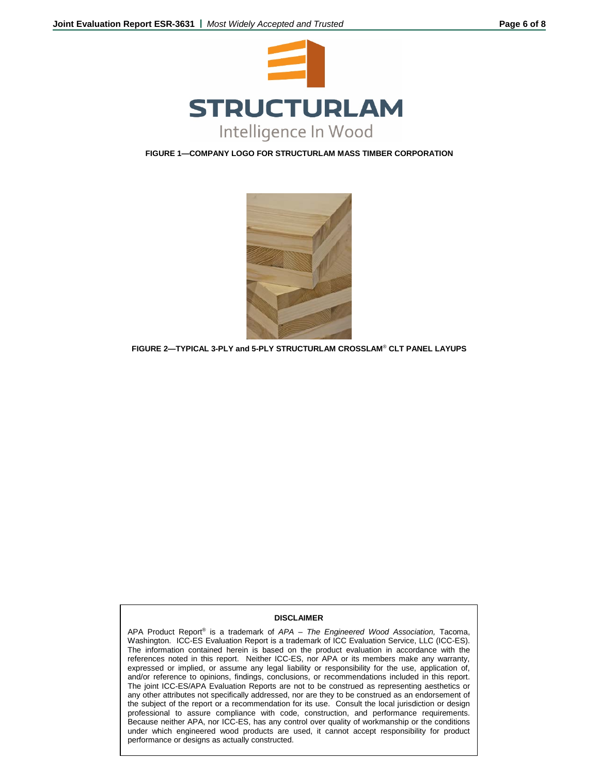

**FIGURE 1—COMPANY LOGO FOR STRUCTURLAM MASS TIMBER CORPORATION**



**FIGURE 2—TYPICAL 3-PLY and 5-PLY STRUCTURLAM CROSSLAM**® **CLT PANEL LAYUPS**

### **DISCLAIMER**

APA Product Report® is a trademark of *APA – The Engineered Wood Association,* Tacoma, Washington. ICC-ES Evaluation Report is a trademark of ICC Evaluation Service, LLC (ICC-ES). The information contained herein is based on the product evaluation in accordance with the references noted in this report. Neither ICC-ES, nor APA or its members make any warranty, expressed or implied, or assume any legal liability or responsibility for the use, application of, and/or reference to opinions, findings, conclusions, or recommendations included in this report. The joint ICC-ES/APA Evaluation Reports are not to be construed as representing aesthetics or any other attributes not specifically addressed, nor are they to be construed as an endorsement of the subject of the report or a recommendation for its use. Consult the local jurisdiction or design professional to assure compliance with code, construction, and performance requirements. Because neither APA, nor ICC-ES, has any control over quality of workmanship or the conditions under which engineered wood products are used, it cannot accept responsibility for product performance or designs as actually constructed.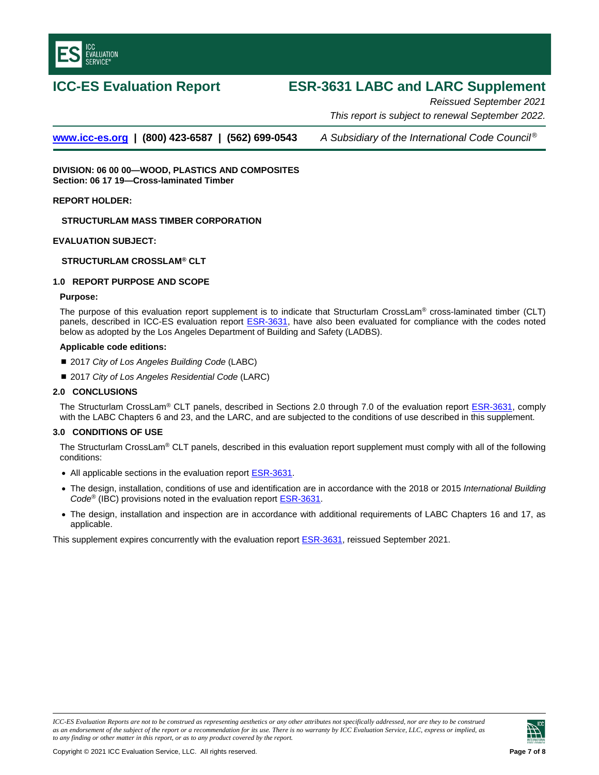<span id="page-6-0"></span>

# **ICC-ES Evaluation Report ESR-3631 LABC and LARC Supplement**

*Reissued September 2021 This report is subject to renewal September 2022.* 

**[www.icc-es.org](http://www.icc-es.org/) | (800) 423-6587 | (562) 699-0543** *A Subsidiary of the International Code Council ®*

**DIVISION: 06 00 00—WOOD, PLASTICS AND COMPOSITES Section: 06 17 19—Cross-laminated Timber** 

**REPORT HOLDER:**

**STRUCTURLAM MASS TIMBER CORPORATION**

**EVALUATION SUBJECT:**

**STRUCTURLAM CROSSLAM® CLT**

### **1.0 REPORT PURPOSE AND SCOPE**

### **Purpose:**

The purpose of this evaluation report supplement is to indicate that Structurlam CrossLam® cross-laminated timber (CLT) panels, described in ICC-ES evaluation report [ESR-3631, h](#page-0-0)ave also been evaluated for compliance with the codes noted below as adopted by the Los Angeles Department of Building and Safety (LADBS).

### **Applicable code editions:**

- 2017 *City of Los Angeles Building Code* (LABC)
- 2017 *City of Los Angeles Residential Code* (LARC)

# **2.0 CONCLUSIONS**

The Structurlam CrossLam<sup>®</sup> CLT panels, described in Sections 2.0 through 7.0 of the evaluation report [ESR-3631,](#page-0-0) comply with the LABC Chapters 6 and 23, and the LARC, and are subjected to the conditions of use described in this supplement.

### **3.0 CONDITIONS OF USE**

The Structurlam CrossLam® CLT panels, described in this evaluation report supplement must comply with all of the following conditions:

- All applicable sections in the evaluation report **ESR-3631**.
- The design, installation, conditions of use and identification are in accordance with the 2018 or 2015 *International Building Code*® (IBC) provisions noted in the evaluation report [ESR-3631.](#page-0-0)
- The design, installation and inspection are in accordance with additional requirements of LABC Chapters 16 and 17, as applicable.

This supplement expires concurrently with the evaluation report [ESR-3631,](#page-0-0) reissued September 2021.